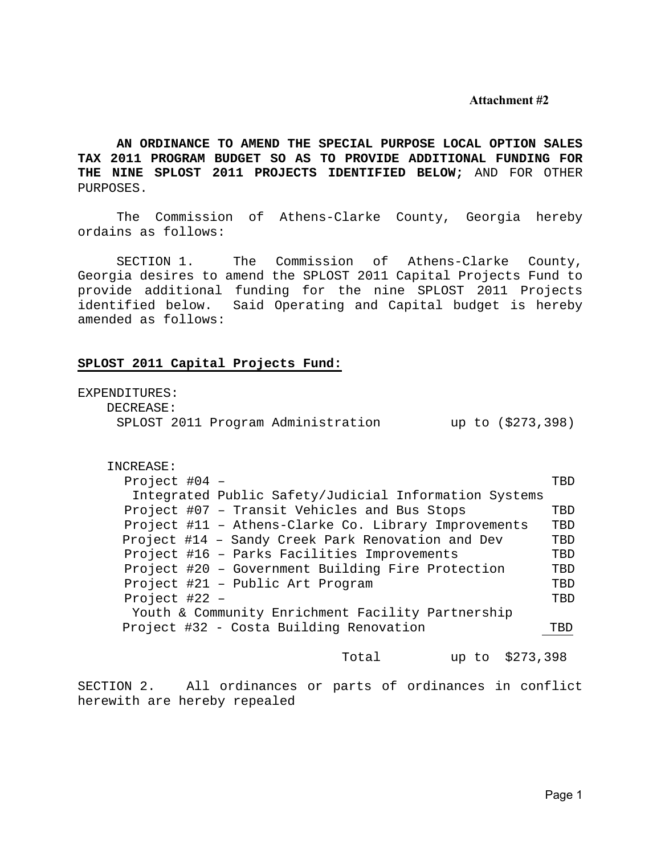#### **Attachment #2**

**AN ORDINANCE TO AMEND THE SPECIAL PURPOSE LOCAL OPTION SALES TAX 2011 PROGRAM BUDGET SO AS TO PROVIDE ADDITIONAL FUNDING FOR THE NINE SPLOST 2011 PROJECTS IDENTIFIED BELOW;** AND FOR OTHER PURPOSES.

 The Commission of Athens-Clarke County, Georgia hereby ordains as follows:

 SECTION 1. The Commission of Athens-Clarke County, Georgia desires to amend the SPLOST 2011 Capital Projects Fund to provide additional funding for the nine SPLOST 2011 Projects identified below. Said Operating and Capital budget is hereby amended as follows:

#### **SPLOST 2011 Capital Projects Fund:**

| EXPENDITURES:                                           |     |
|---------------------------------------------------------|-----|
| DECREASE:                                               |     |
| SPLOST 2011 Program Administration<br>up to (\$273,398) |     |
| INCREASE:                                               |     |
| Project $#04 -$                                         | TBD |
| Integrated Public Safety/Judicial Information Systems   |     |
| Project #07 - Transit Vehicles and Bus Stops            | TBD |
| Project #11 - Athens-Clarke Co. Library Improvements    | TBD |
| Project #14 - Sandy Creek Park Renovation and Dev       | TBD |
| Project #16 - Parks Facilities Improvements             | TBD |
| Project #20 - Government Building Fire Protection       | TBD |
| Project #21 - Public Art Program                        | TBD |
| Project $#22 -$                                         | TBD |
| Youth & Community Enrichment Facility Partnership       |     |
| Project #32 - Costa Building Renovation                 | TBD |

Total up to \$273,398

SECTION 2. All ordinances or parts of ordinances in conflict herewith are hereby repealed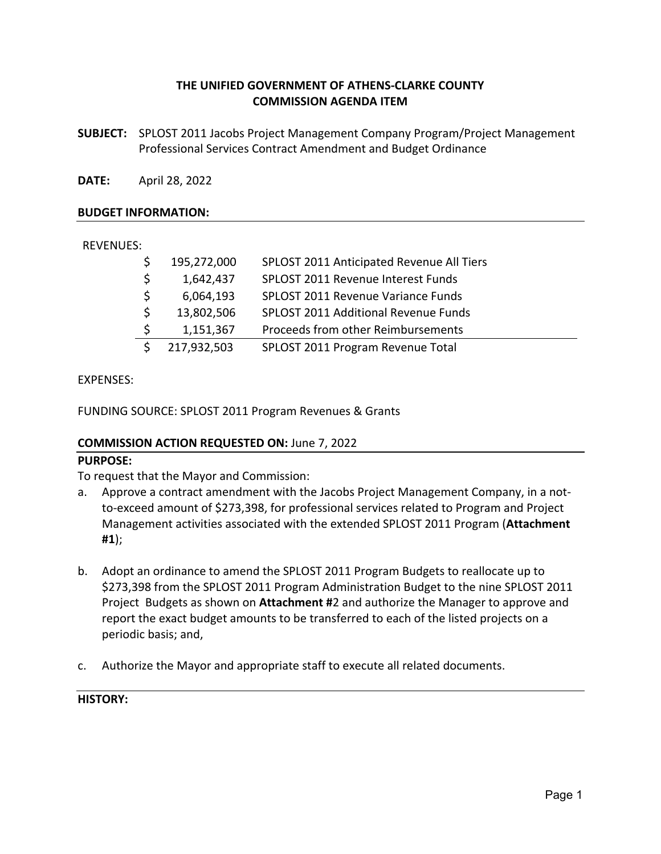## **THE UNIFIED GOVERNMENT OF ATHENS‐CLARKE COUNTY COMMISSION AGENDA ITEM**

**SUBJECT:**  SPLOST 2011 Jacobs Project Management Company Program/Project Management Professional Services Contract Amendment and Budget Ordinance

**DATE:**  April 28, 2022

### **BUDGET INFORMATION:**

### REVENUES:

|    | 195,272,000 | SPLOST 2011 Anticipated Revenue All Tiers |
|----|-------------|-------------------------------------------|
| Ŝ. | 1,642,437   | SPLOST 2011 Revenue Interest Funds        |
| Ŝ. | 6,064,193   | <b>SPLOST 2011 Revenue Variance Funds</b> |
| Ŝ. | 13,802,506  | SPLOST 2011 Additional Revenue Funds      |
|    | 1,151,367   | Proceeds from other Reimbursements        |
|    | 217,932,503 | SPLOST 2011 Program Revenue Total         |

### EXPENSES:

FUNDING SOURCE: SPLOST 2011 Program Revenues & Grants

### **COMMISSION ACTION REQUESTED ON:** June 7, 2022

### **PURPOSE:**

To request that the Mayor and Commission:

- a. Approve a contract amendment with the Jacobs Project Management Company, in a not‐ to‐exceed amount of \$273,398, for professional services related to Program and Project Management activities associated with the extended SPLOST 2011 Program (**Attachment #1**);
- b. Adopt an ordinance to amend the SPLOST 2011 Program Budgets to reallocate up to \$273,398 from the SPLOST 2011 Program Administration Budget to the nine SPLOST 2011 Project Budgets as shown on **Attachment #**2 and authorize the Manager to approve and report the exact budget amounts to be transferred to each of the listed projects on a periodic basis; and,
- c. Authorize the Mayor and appropriate staff to execute all related documents.

## **HISTORY:**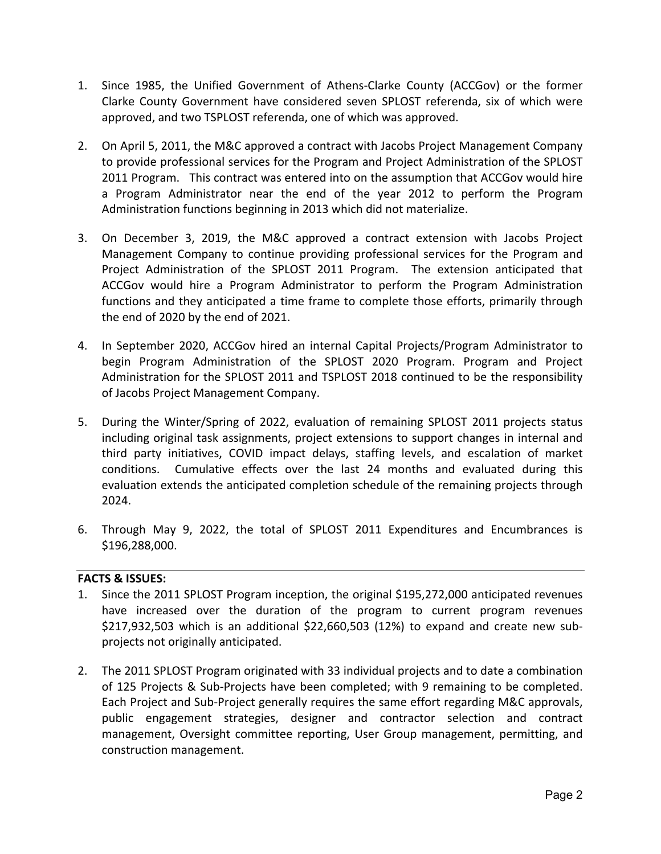- 1. Since 1985, the Unified Government of Athens‐Clarke County (ACCGov) or the former Clarke County Government have considered seven SPLOST referenda, six of which were approved, and two TSPLOST referenda, one of which was approved.
- 2. On April 5, 2011, the M&C approved a contract with Jacobs Project Management Company to provide professional services for the Program and Project Administration of the SPLOST 2011 Program. This contract was entered into on the assumption that ACCGov would hire a Program Administrator near the end of the year 2012 to perform the Program Administration functions beginning in 2013 which did not materialize.
- 3. On December 3, 2019, the M&C approved a contract extension with Jacobs Project Management Company to continue providing professional services for the Program and Project Administration of the SPLOST 2011 Program. The extension anticipated that ACCGov would hire a Program Administrator to perform the Program Administration functions and they anticipated a time frame to complete those efforts, primarily through the end of 2020 by the end of 2021.
- 4. In September 2020, ACCGov hired an internal Capital Projects/Program Administrator to begin Program Administration of the SPLOST 2020 Program. Program and Project Administration for the SPLOST 2011 and TSPLOST 2018 continued to be the responsibility of Jacobs Project Management Company.
- 5. During the Winter/Spring of 2022, evaluation of remaining SPLOST 2011 projects status including original task assignments, project extensions to support changes in internal and third party initiatives, COVID impact delays, staffing levels, and escalation of market conditions. Cumulative effects over the last 24 months and evaluated during this evaluation extends the anticipated completion schedule of the remaining projects through 2024.
- 6. Through May 9, 2022, the total of SPLOST 2011 Expenditures and Encumbrances is \$196,288,000.

## **FACTS & ISSUES:**

- 1. Since the 2011 SPLOST Program inception, the original \$195,272,000 anticipated revenues have increased over the duration of the program to current program revenues \$217,932,503 which is an additional \$22,660,503 (12%) to expand and create new subprojects not originally anticipated.
- 2. The 2011 SPLOST Program originated with 33 individual projects and to date a combination of 125 Projects & Sub-Projects have been completed; with 9 remaining to be completed. Each Project and Sub‐Project generally requires the same effort regarding M&C approvals, public engagement strategies, designer and contractor selection and contract management, Oversight committee reporting, User Group management, permitting, and construction management.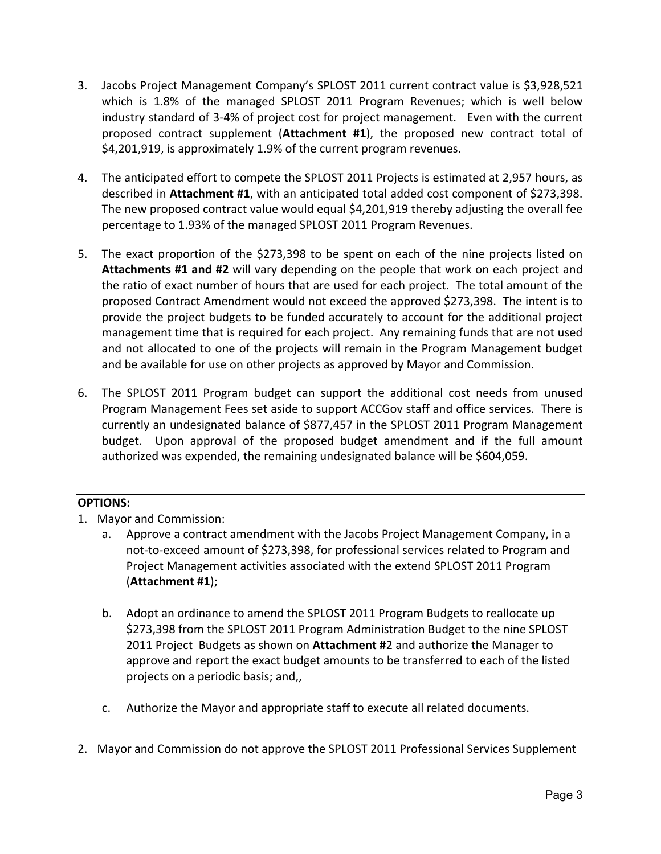- 3. Jacobs Project Management Company's SPLOST 2011 current contract value is \$3,928,521 which is 1.8% of the managed SPLOST 2011 Program Revenues; which is well below industry standard of 3‐4% of project cost for project management. Even with the current proposed contract supplement (**Attachment #1**), the proposed new contract total of \$4,201,919, is approximately 1.9% of the current program revenues.
- 4. The anticipated effort to compete the SPLOST 2011 Projects is estimated at 2,957 hours, as described in **Attachment #1**, with an anticipated total added cost component of \$273,398. The new proposed contract value would equal \$4,201,919 thereby adjusting the overall fee percentage to 1.93% of the managed SPLOST 2011 Program Revenues.
- 5. The exact proportion of the \$273,398 to be spent on each of the nine projects listed on **Attachments #1 and #2** will vary depending on the people that work on each project and the ratio of exact number of hours that are used for each project. The total amount of the proposed Contract Amendment would not exceed the approved \$273,398. The intent is to provide the project budgets to be funded accurately to account for the additional project management time that is required for each project. Any remaining funds that are not used and not allocated to one of the projects will remain in the Program Management budget and be available for use on other projects as approved by Mayor and Commission.
- 6. The SPLOST 2011 Program budget can support the additional cost needs from unused Program Management Fees set aside to support ACCGov staff and office services. There is currently an undesignated balance of \$877,457 in the SPLOST 2011 Program Management budget. Upon approval of the proposed budget amendment and if the full amount authorized was expended, the remaining undesignated balance will be \$604,059.

## **OPTIONS:**

- 1. Mayor and Commission:
	- a. Approve a contract amendment with the Jacobs Project Management Company, in a not‐to‐exceed amount of \$273,398, for professional services related to Program and Project Management activities associated with the extend SPLOST 2011 Program (**Attachment #1**);
	- b. Adopt an ordinance to amend the SPLOST 2011 Program Budgets to reallocate up \$273,398 from the SPLOST 2011 Program Administration Budget to the nine SPLOST 2011 Project Budgets as shown on **Attachment #**2 and authorize the Manager to approve and report the exact budget amounts to be transferred to each of the listed projects on a periodic basis; and,,
	- c. Authorize the Mayor and appropriate staff to execute all related documents.
- 2. Mayor and Commission do not approve the SPLOST 2011 Professional Services Supplement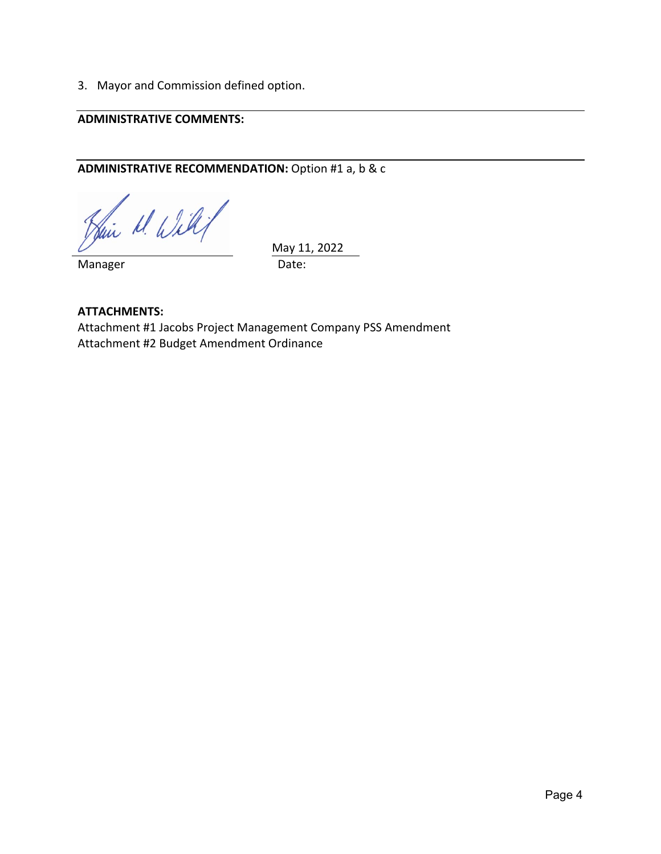3. Mayor and Commission defined option.

# **ADMINISTRATIVE COMMENTS:**

# **ADMINISTRATIVE RECOMMENDATION:** Option #1 a, b & c

Hair M. Willy

Manager **Date:** 

May 11, 2022

**ATTACHMENTS:**  Attachment #1 Jacobs Project Management Company PSS Amendment Attachment #2 Budget Amendment Ordinance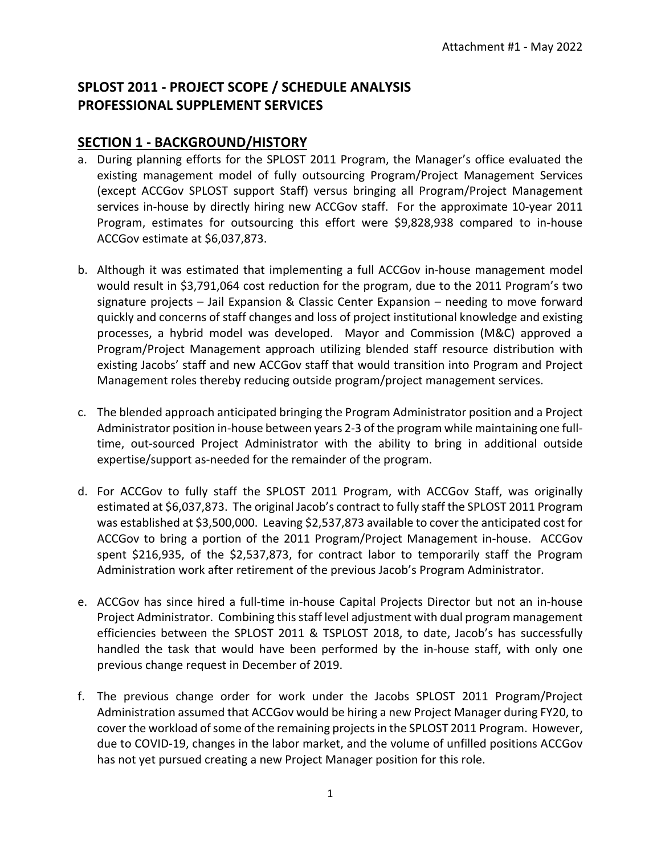# **SPLOST 2011 ‐ PROJECT SCOPE / SCHEDULE ANALYSIS PROFESSIONAL SUPPLEMENT SERVICES**

# **SECTION 1 ‐ BACKGROUND/HISTORY**

- a. During planning efforts for the SPLOST 2011 Program, the Manager's office evaluated the existing management model of fully outsourcing Program/Project Management Services (except ACCGov SPLOST support Staff) versus bringing all Program/Project Management services in-house by directly hiring new ACCGov staff. For the approximate 10-year 2011 Program, estimates for outsourcing this effort were \$9,828,938 compared to in-house ACCGov estimate at \$6,037,873.
- b. Although it was estimated that implementing a full ACCGov in‐house management model would result in \$3,791,064 cost reduction for the program, due to the 2011 Program's two signature projects – Jail Expansion & Classic Center Expansion – needing to move forward quickly and concerns of staff changes and loss of project institutional knowledge and existing processes, a hybrid model was developed. Mayor and Commission (M&C) approved a Program/Project Management approach utilizing blended staff resource distribution with existing Jacobs' staff and new ACCGov staff that would transition into Program and Project Management roles thereby reducing outside program/project management services.
- c. The blended approach anticipated bringing the Program Administrator position and a Project Administrator position in‐house between years 2‐3 of the program while maintaining one full‐ time, out-sourced Project Administrator with the ability to bring in additional outside expertise/support as‐needed for the remainder of the program.
- d. For ACCGov to fully staff the SPLOST 2011 Program, with ACCGov Staff, was originally estimated at \$6,037,873. The original Jacob's contract to fully staff the SPLOST 2011 Program was established at \$3,500,000. Leaving \$2,537,873 available to cover the anticipated cost for ACCGov to bring a portion of the 2011 Program/Project Management in‐house. ACCGov spent \$216,935, of the \$2,537,873, for contract labor to temporarily staff the Program Administration work after retirement of the previous Jacob's Program Administrator.
- e. ACCGov has since hired a full-time in-house Capital Projects Director but not an in-house Project Administrator. Combining this staff level adjustment with dual program management efficiencies between the SPLOST 2011 & TSPLOST 2018, to date, Jacob's has successfully handled the task that would have been performed by the in-house staff, with only one previous change request in December of 2019.
- f. The previous change order for work under the Jacobs SPLOST 2011 Program/Project Administration assumed that ACCGov would be hiring a new Project Manager during FY20, to cover the workload of some of the remaining projects in the SPLOST 2011 Program. However, due to COVID‐19, changes in the labor market, and the volume of unfilled positions ACCGov has not yet pursued creating a new Project Manager position for this role.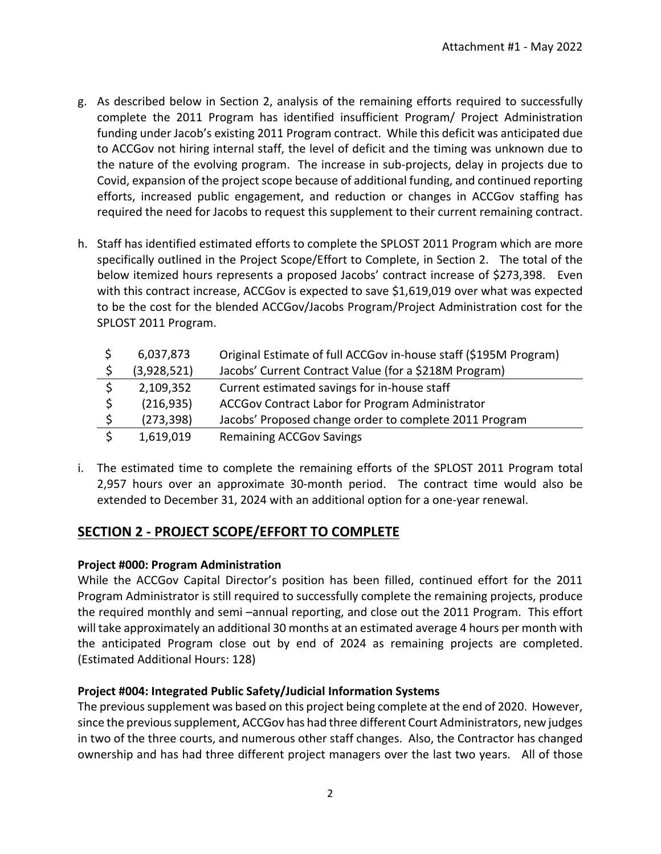- g. As described below in Section 2, analysis of the remaining efforts required to successfully complete the 2011 Program has identified insufficient Program/ Project Administration funding under Jacob's existing 2011 Program contract. While this deficit was anticipated due to ACCGov not hiring internal staff, the level of deficit and the timing was unknown due to the nature of the evolving program. The increase in sub‐projects, delay in projects due to Covid, expansion of the project scope because of additional funding, and continued reporting efforts, increased public engagement, and reduction or changes in ACCGov staffing has required the need for Jacobs to request this supplement to their current remaining contract.
- h. Staff has identified estimated efforts to complete the SPLOST 2011 Program which are more specifically outlined in the Project Scope/Effort to Complete, in Section 2. The total of the below itemized hours represents a proposed Jacobs' contract increase of \$273,398. Even with this contract increase, ACCGov is expected to save \$1,619,019 over what was expected to be the cost for the blended ACCGov/Jacobs Program/Project Administration cost for the SPLOST 2011 Program.

|              | 6,037,873   | Original Estimate of full ACCGov in-house staff (\$195M Program) |
|--------------|-------------|------------------------------------------------------------------|
|              | (3,928,521) | Jacobs' Current Contract Value (for a \$218M Program)            |
|              | 2,109,352   | Current estimated savings for in-house staff                     |
| <sup>S</sup> | (216, 935)  | ACCGov Contract Labor for Program Administrator                  |
| $\mathsf{S}$ | (273, 398)  | Jacobs' Proposed change order to complete 2011 Program           |
|              | 1,619,019   | <b>Remaining ACCGov Savings</b>                                  |

i. The estimated time to complete the remaining efforts of the SPLOST 2011 Program total 2,957 hours over an approximate 30‐month period. The contract time would also be extended to December 31, 2024 with an additional option for a one‐year renewal.

# **SECTION 2 ‐ PROJECT SCOPE/EFFORT TO COMPLETE**

# **Project #000: Program Administration**

While the ACCGov Capital Director's position has been filled, continued effort for the 2011 Program Administrator is still required to successfully complete the remaining projects, produce the required monthly and semi –annual reporting, and close out the 2011 Program. This effort will take approximately an additional 30 months at an estimated average 4 hours per month with the anticipated Program close out by end of 2024 as remaining projects are completed. (Estimated Additional Hours: 128)

# **Project #004: Integrated Public Safety/Judicial Information Systems**

The previous supplement was based on this project being complete at the end of 2020. However, since the previous supplement, ACCGov has had three different Court Administrators, new judges in two of the three courts, and numerous other staff changes. Also, the Contractor has changed ownership and has had three different project managers over the last two years. All of those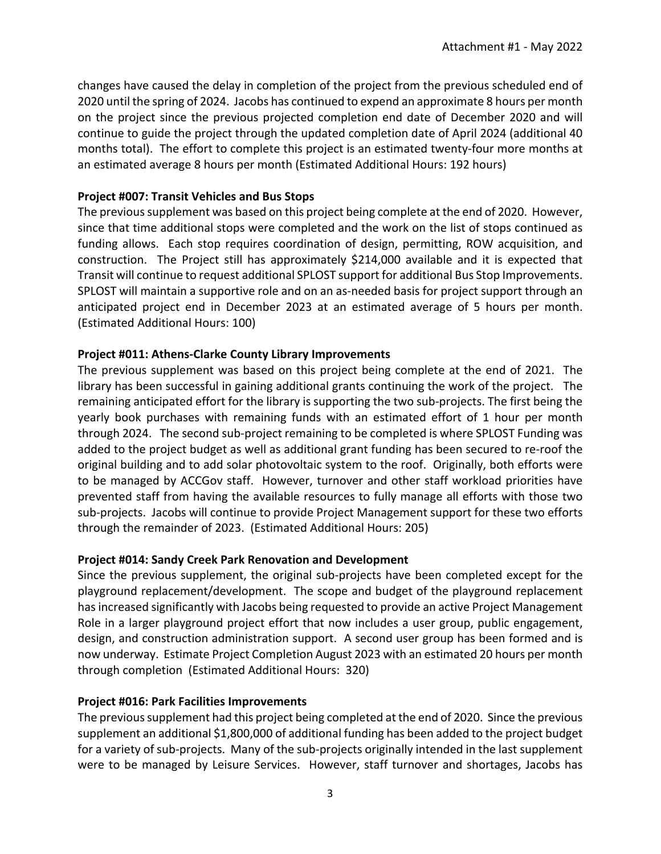changes have caused the delay in completion of the project from the previous scheduled end of 2020 until the spring of 2024. Jacobs has continued to expend an approximate 8 hours per month on the project since the previous projected completion end date of December 2020 and will continue to guide the project through the updated completion date of April 2024 (additional 40 months total). The effort to complete this project is an estimated twenty-four more months at an estimated average 8 hours per month (Estimated Additional Hours: 192 hours)

## **Project #007: Transit Vehicles and Bus Stops**

The previous supplement was based on this project being complete at the end of 2020. However, since that time additional stops were completed and the work on the list of stops continued as funding allows. Each stop requires coordination of design, permitting, ROW acquisition, and construction. The Project still has approximately \$214,000 available and it is expected that Transit will continue to request additional SPLOST support for additional Bus Stop Improvements. SPLOST will maintain a supportive role and on an as-needed basis for project support through an anticipated project end in December 2023 at an estimated average of 5 hours per month. (Estimated Additional Hours: 100)

## **Project #011: Athens‐Clarke County Library Improvements**

The previous supplement was based on this project being complete at the end of 2021. The library has been successful in gaining additional grants continuing the work of the project. The remaining anticipated effort for the library is supporting the two sub‐projects. The first being the yearly book purchases with remaining funds with an estimated effort of 1 hour per month through 2024. The second sub‐project remaining to be completed is where SPLOST Funding was added to the project budget as well as additional grant funding has been secured to re‐roof the original building and to add solar photovoltaic system to the roof. Originally, both efforts were to be managed by ACCGov staff. However, turnover and other staff workload priorities have prevented staff from having the available resources to fully manage all efforts with those two sub‐projects. Jacobs will continue to provide Project Management support for these two efforts through the remainder of 2023. (Estimated Additional Hours: 205)

# **Project #014: Sandy Creek Park Renovation and Development**

Since the previous supplement, the original sub‐projects have been completed except for the playground replacement/development. The scope and budget of the playground replacement has increased significantly with Jacobs being requested to provide an active Project Management Role in a larger playground project effort that now includes a user group, public engagement, design, and construction administration support. A second user group has been formed and is now underway. Estimate Project Completion August 2023 with an estimated 20 hours per month through completion (Estimated Additional Hours: 320)

# **Project #016: Park Facilities Improvements**

The previous supplement had this project being completed at the end of 2020. Since the previous supplement an additional \$1,800,000 of additional funding has been added to the project budget for a variety of sub-projects. Many of the sub-projects originally intended in the last supplement were to be managed by Leisure Services. However, staff turnover and shortages, Jacobs has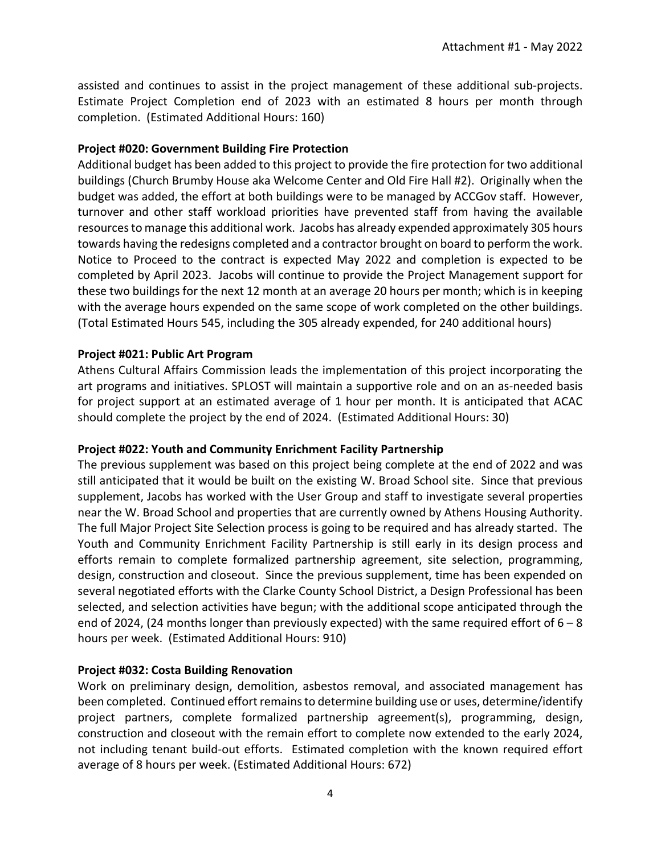assisted and continues to assist in the project management of these additional sub‐projects. Estimate Project Completion end of 2023 with an estimated 8 hours per month through completion. (Estimated Additional Hours: 160)

## **Project #020: Government Building Fire Protection**

Additional budget has been added to this project to provide the fire protection for two additional buildings (Church Brumby House aka Welcome Center and Old Fire Hall #2). Originally when the budget was added, the effort at both buildings were to be managed by ACCGov staff. However, turnover and other staff workload priorities have prevented staff from having the available resources to manage this additional work. Jacobs has already expended approximately 305 hours towards having the redesigns completed and a contractor brought on board to perform the work. Notice to Proceed to the contract is expected May 2022 and completion is expected to be completed by April 2023. Jacobs will continue to provide the Project Management support for these two buildings for the next 12 month at an average 20 hours per month; which is in keeping with the average hours expended on the same scope of work completed on the other buildings. (Total Estimated Hours 545, including the 305 already expended, for 240 additional hours)

## **Project #021: Public Art Program**

Athens Cultural Affairs Commission leads the implementation of this project incorporating the art programs and initiatives. SPLOST will maintain a supportive role and on an as-needed basis for project support at an estimated average of 1 hour per month. It is anticipated that ACAC should complete the project by the end of 2024. (Estimated Additional Hours: 30)

# **Project #022: Youth and Community Enrichment Facility Partnership**

The previous supplement was based on this project being complete at the end of 2022 and was still anticipated that it would be built on the existing W. Broad School site. Since that previous supplement, Jacobs has worked with the User Group and staff to investigate several properties near the W. Broad School and properties that are currently owned by Athens Housing Authority. The full Major Project Site Selection process is going to be required and has already started. The Youth and Community Enrichment Facility Partnership is still early in its design process and efforts remain to complete formalized partnership agreement, site selection, programming, design, construction and closeout. Since the previous supplement, time has been expended on several negotiated efforts with the Clarke County School District, a Design Professional has been selected, and selection activities have begun; with the additional scope anticipated through the end of 2024, (24 months longer than previously expected) with the same required effort of  $6 - 8$ hours per week. (Estimated Additional Hours: 910)

# **Project #032: Costa Building Renovation**

Work on preliminary design, demolition, asbestos removal, and associated management has been completed. Continued effort remains to determine building use or uses, determine/identify project partners, complete formalized partnership agreement(s), programming, design, construction and closeout with the remain effort to complete now extended to the early 2024, not including tenant build‐out efforts. Estimated completion with the known required effort average of 8 hours per week. (Estimated Additional Hours: 672)